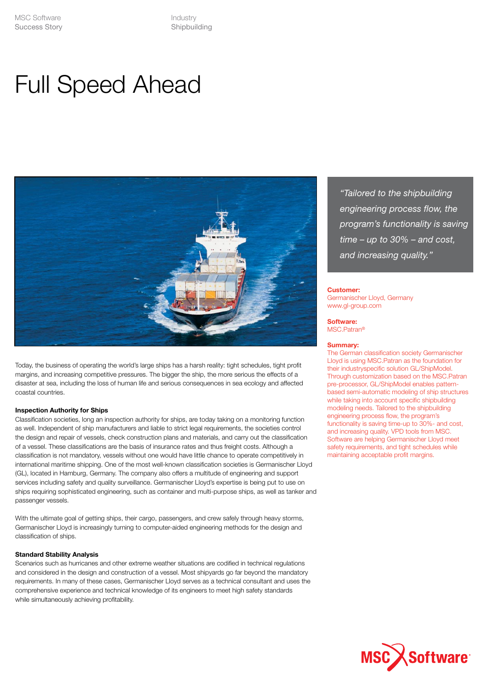Industry Shipbuilding

# Full Speed Ahead



Today, the business of operating the world's large ships has a harsh reality: tight schedules, tight profit margins, and increasing competitive pressures. The bigger the ship, the more serious the effects of a disaster at sea, including the loss of human life and serious consequences in sea ecology and affected coastal countries.

# **Inspection Authority for Ships**

Classification societies, long an inspection authority for ships, are today taking on a monitoring function as well. Independent of ship manufacturers and liable to strict legal requirements, the societies control the design and repair of vessels, check construction plans and materials, and carry out the classification of a vessel. These classifications are the basis of insurance rates and thus freight costs. Although a classification is not mandatory, vessels without one would have little chance to operate competitively in international maritime shipping. One of the most well-known classification societies is Germanischer Lloyd (GL), located in Hamburg, Germany. The company also offers a multitude of engineering and support services including safety and quality surveillance. Germanischer Lloyd's expertise is being put to use on ships requiring sophisticated engineering, such as container and multi-purpose ships, as well as tanker and passenger vessels.

With the ultimate goal of getting ships, their cargo, passengers, and crew safely through heavy storms, Germanischer Lloyd is increasingly turning to computer-aided engineering methods for the design and classification of ships.

## **Standard Stability Analysis**

Scenarios such as hurricanes and other extreme weather situations are codified in technical regulations and considered in the design and construction of a vessel. Most shipyards go far beyond the mandatory requirements. In many of these cases, Germanischer Lloyd serves as a technical consultant and uses the comprehensive experience and technical knowledge of its engineers to meet high safety standards while simultaneously achieving profitability.

*"Tailored to the shipbuilding engineering process flow, the program's functionality is saving time – up to 30% – and cost, and increasing quality."*

#### **Customer:**

Germanischer Lloyd, Germany www.gl-group.com

**Software:** MSC. Patran®

#### **Summary:**

The German classification society Germanischer Lloyd is using MSC.Patran as the foundation for their industryspecific solution GL/ShipModel. Through customization based on the MSC.Patran pre-processor, GL/ShipModel enables patternbased semi-automatic modeling of ship structures while taking into account specific shipbuilding modeling needs. Tailored to the shipbuilding engineering process flow, the program's functionality is saving time-up to 30%- and cost, and increasing quality. VPD tools from MSC. Software are helping Germanischer Lloyd meet safety requirements, and tight schedules while maintaining acceptable profit margins.